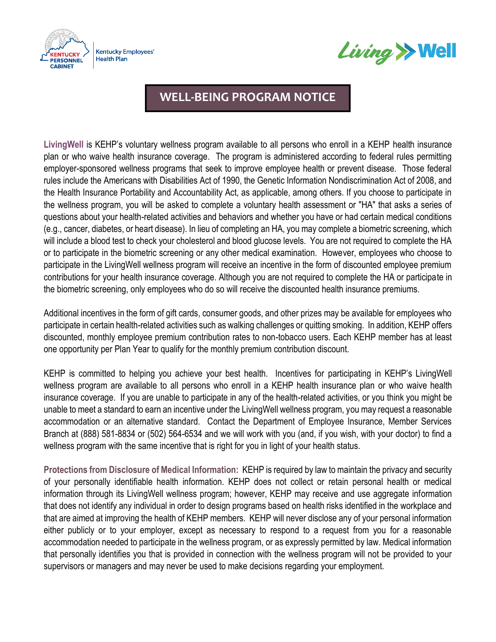

 $Living \rightarrow$  Well

## **WELL-BEING PROGRAM NOTICE**

**LivingWell** is KEHP's voluntary wellness program available to all persons who enroll in a KEHP health insurance plan or who waive health insurance coverage. The program is administered according to federal rules permitting employer-sponsored wellness programs that seek to improve employee health or prevent disease. Those federal rules include the Americans with Disabilities Act of 1990, the Genetic Information Nondiscrimination Act of 2008, and the Health Insurance Portability and Accountability Act, as applicable, among others. If you choose to participate in the wellness program, you will be asked to complete a voluntary health assessment or "HA" that asks a series of questions about your health-related activities and behaviors and whether you have or had certain medical conditions (e.g., cancer, diabetes, or heart disease). In lieu of completing an HA, you may complete a biometric screening, which will include a blood test to check your cholesterol and blood glucose levels. You are not required to complete the HA or to participate in the biometric screening or any other medical examination. However, employees who choose to participate in the LivingWell wellness program will receive an incentive in the form of discounted employee premium contributions for your health insurance coverage. Although you are not required to complete the HA or participate in the biometric screening, only employees who do so will receive the discounted health insurance premiums.

Additional incentives in the form of gift cards, consumer goods, and other prizes may be available for employees who participate in certain health-related activities such as walking challenges or quitting smoking. In addition, KEHP offers discounted, monthly employee premium contribution rates to non-tobacco users. Each KEHP member has at least one opportunity per Plan Year to qualify for the monthly premium contribution discount.

KEHP is committed to helping you achieve your best health. Incentives for participating in KEHP's LivingWell wellness program are available to all persons who enroll in a KEHP health insurance plan or who waive health insurance coverage. If you are unable to participate in any of the health-related activities, or you think you might be unable to meet a standard to earn an incentive under the LivingWell wellness program, you may request a reasonable accommodation or an alternative standard. Contact the Department of Employee Insurance, Member Services Branch at (888) 581-8834 or (502) 564-6534 and we will work with you (and, if you wish, with your doctor) to find a wellness program with the same incentive that is right for you in light of your health status.

**Protections from Disclosure of Medical Information:** KEHP is required by law to maintain the privacy and security of your personally identifiable health information. KEHP does not collect or retain personal health or medical information through its LivingWell wellness program; however, KEHP may receive and use aggregate information that does not identify any individual in order to design programs based on health risks identified in the workplace and that are aimed at improving the health of KEHP members. KEHP will never disclose any of your personal information either publicly or to your employer, except as necessary to respond to a request from you for a reasonable accommodation needed to participate in the wellness program, or as expressly permitted by law. Medical information that personally identifies you that is provided in connection with the wellness program will not be provided to your supervisors or managers and may never be used to make decisions regarding your employment.